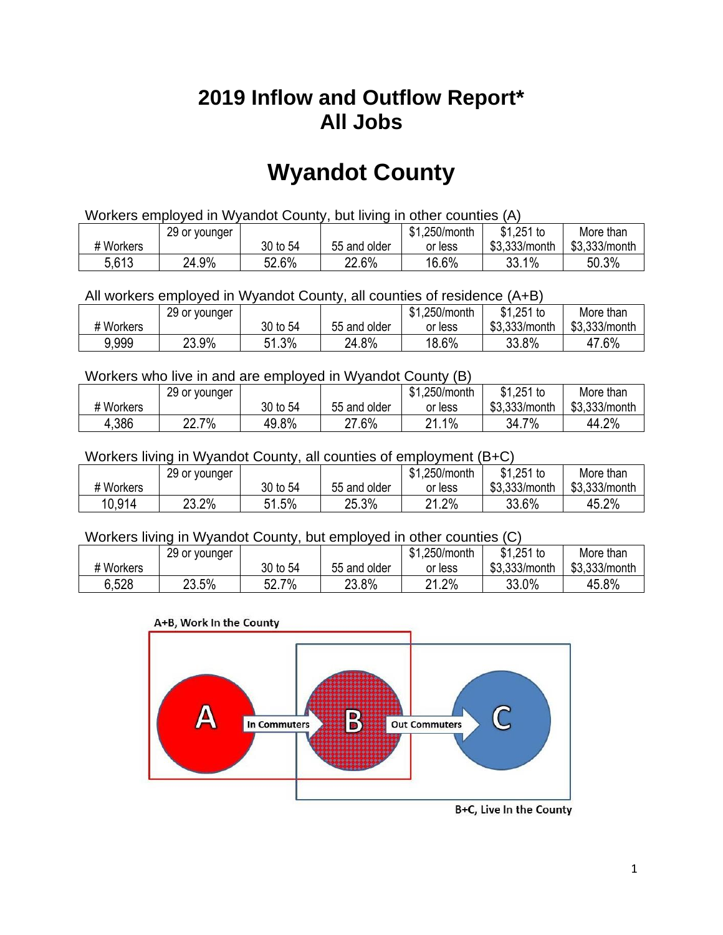## **2019 Inflow and Outflow Report\* All Jobs**

# **Wyandot County**

| Workers employed in Wyandot County, but living in other counties (A) |                                                            |          |              |         |               |               |  |  |  |
|----------------------------------------------------------------------|------------------------------------------------------------|----------|--------------|---------|---------------|---------------|--|--|--|
|                                                                      | $$1,251$ to<br>\$1.250/month<br>More than<br>29 or younger |          |              |         |               |               |  |  |  |
| # Workers                                                            |                                                            | 30 to 54 | 55 and older | or less | \$3.333/month | \$3.333/month |  |  |  |
| 5,613                                                                | 24.9%                                                      | 52.6%    | 22.6%        | 16.6%   | 33.1%         | 50.3%         |  |  |  |

All workers employed in Wyandot County, all counties of residence (A+B)

|           | 29 or younger |          |              | \$1,250/month | \$1,251 to    | More than     |
|-----------|---------------|----------|--------------|---------------|---------------|---------------|
| # Workers |               | 30 to 54 | 55 and older | or less       | \$3,333/month | \$3,333/month |
| 9,999     | 23.9%         | 51.3%    | 24.8%        | 18.6%         | 33.8%         | 47.6%         |

#### Workers who live in and are employed in Wyandot County (B)

|           | 29 or younger |          |              | \$1,250/month                    | $$1,251$ to   | More than     |
|-----------|---------------|----------|--------------|----------------------------------|---------------|---------------|
| # Workers |               | 30 to 54 | 55 and older | or less                          | \$3,333/month | \$3,333/month |
| 4,386     | 22.7%         | 49.8%    | 27.6%        | $.1\%$<br>$^{\circ}$<br><u>_</u> | 7%<br>34.7    | 44.2%         |

#### Workers living in Wyandot County, all counties of employment (B+C)

|           | 29 or younger |              |              | \$1,250/month | \$1,251 to    | More than     |
|-----------|---------------|--------------|--------------|---------------|---------------|---------------|
| # Workers |               | 30 to 54     | 55 and older | or less       | \$3,333/month | \$3,333/month |
| 10,914    | 23.2%         | 1.5%<br>C 1. | 25.3%        | 21.2%         | 33.6%         | 45.2%         |

#### Workers living in Wyandot County, but employed in other counties (C)

|           | 29 or younger |                      |              | \$1,250/month | $$1,251$ to   | More than     |
|-----------|---------------|----------------------|--------------|---------------|---------------|---------------|
| # Workers |               | 30 to 54             | 55 and older | or less       | \$3,333/month | \$3,333/month |
| 6.528     | 23.5%         | 7%<br>cn.<br>. OZ. . | 23.8%        | 21.2%         | 33.0%         | 45.8%         |

#### A+B, Work In the County



B+C, Live In the County